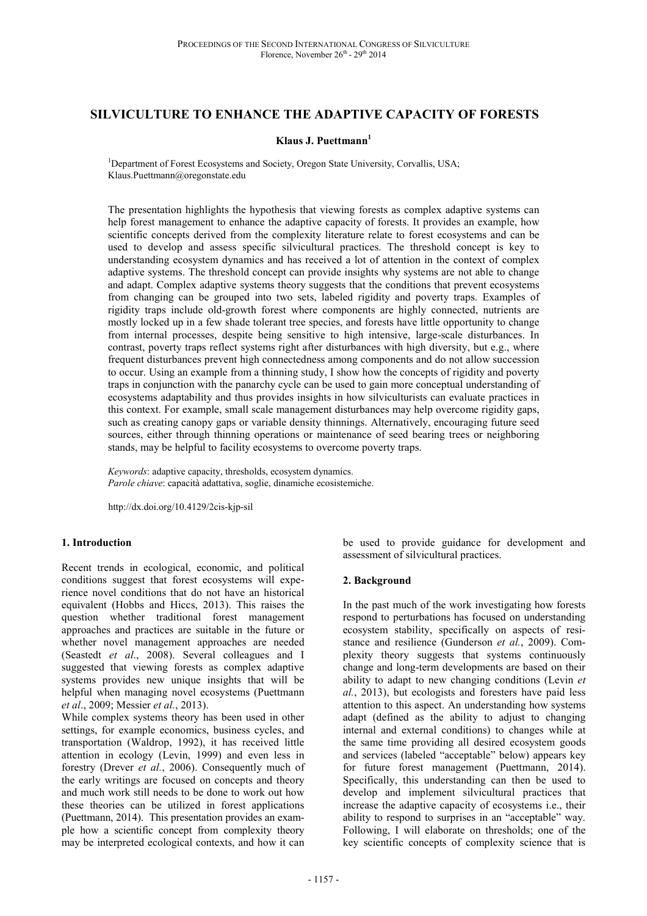# **SILVICULTURE TO ENHANCE THE ADAPTIVE CAPACITY OF FORESTS**

### **Klaus J. Puettmann<sup>1</sup>**

<sup>1</sup>Department of Forest Ecosystems and Society, Oregon State University, Corvallis, USA; Klaus.Puettmann@oregonstate.edu

The presentation highlights the hypothesis that viewing forests as complex adaptive systems can help forest management to enhance the adaptive capacity of forests. It provides an example, how scientific concepts derived from the complexity literature relate to forest ecosystems and can be used to develop and assess specific silvicultural practices. The threshold concept is key to understanding ecosystem dynamics and has received a lot of attention in the context of complex adaptive systems. The threshold concept can provide insights why systems are not able to change and adapt. Complex adaptive systems theory suggests that the conditions that prevent ecosystems from changing can be grouped into two sets, labeled rigidity and poverty traps. Examples of rigidity traps include old-growth forest where components are highly connected, nutrients are mostly locked up in a few shade tolerant tree species, and forests have little opportunity to change from internal processes, despite being sensitive to high intensive, large-scale disturbances. In contrast, poverty traps reflect systems right after disturbances with high diversity, but e.g., where frequent disturbances prevent high connectedness among components and do not allow succession to occur. Using an example from a thinning study, I show how the concepts of rigidity and poverty traps in conjunction with the panarchy cycle can be used to gain more conceptual understanding of ecosystems adaptability and thus provides insights in how silviculturists can evaluate practices in this context. For example, small scale management disturbances may help overcome rigidity gaps, such as creating canopy gaps or variable density thinnings. Alternatively, encouraging future seed sources, either through thinning operations or maintenance of seed bearing trees or neighboring stands, may be helpful to facility ecosystems to overcome poverty traps.

*Keywords*: adaptive capacity, thresholds, ecosystem dynamics. *Parole chiave*: capacità adattativa, soglie, dinamiche ecosistemiche.

http://dx.doi.org/10.4129/2cis-kjp-sil

#### **1. Introduction**

Recent trends in ecological, economic, and political conditions suggest that forest ecosystems will experience novel conditions that do not have an historical equivalent (Hobbs and Hiccs, 2013). This raises the question whether traditional forest management approaches and practices are suitable in the future or whether novel management approaches are needed (Seastedt *et al*., 2008). Several colleagues and I suggested that viewing forests as complex adaptive systems provides new unique insights that will be helpful when managing novel ecosystems (Puettmann *et al*., 2009; Messier *et al.*, 2013).

While complex systems theory has been used in other settings, for example economics, business cycles, and transportation (Waldrop, 1992), it has received little attention in ecology (Levin, 1999) and even less in forestry (Drever *et al.*, 2006). Consequently much of the early writings are focused on concepts and theory and much work still needs to be done to work out how these theories can be utilized in forest applications (Puettmann, 2014). This presentation provides an example how a scientific concept from complexity theory may be interpreted ecological contexts, and how it can

be used to provide guidance for development and assessment of silvicultural practices.

### **2. Background**

In the past much of the work investigating how forests respond to perturbations has focused on understanding ecosystem stability, specifically on aspects of resistance and resilience (Gunderson *et al.*, 2009). Complexity theory suggests that systems continuously change and long-term developments are based on their ability to adapt to new changing conditions (Levin *et al.*, 2013), but ecologists and foresters have paid less attention to this aspect. An understanding how systems adapt (defined as the ability to adjust to changing internal and external conditions) to changes while at the same time providing all desired ecosystem goods and services (labeled "acceptable" below) appears key for future forest management (Puettmann, 2014). Specifically, this understanding can then be used to develop and implement silvicultural practices that increase the adaptive capacity of ecosystems i.e., their ability to respond to surprises in an "acceptable" way. Following, I will elaborate on thresholds; one of the key scientific concepts of complexity science that is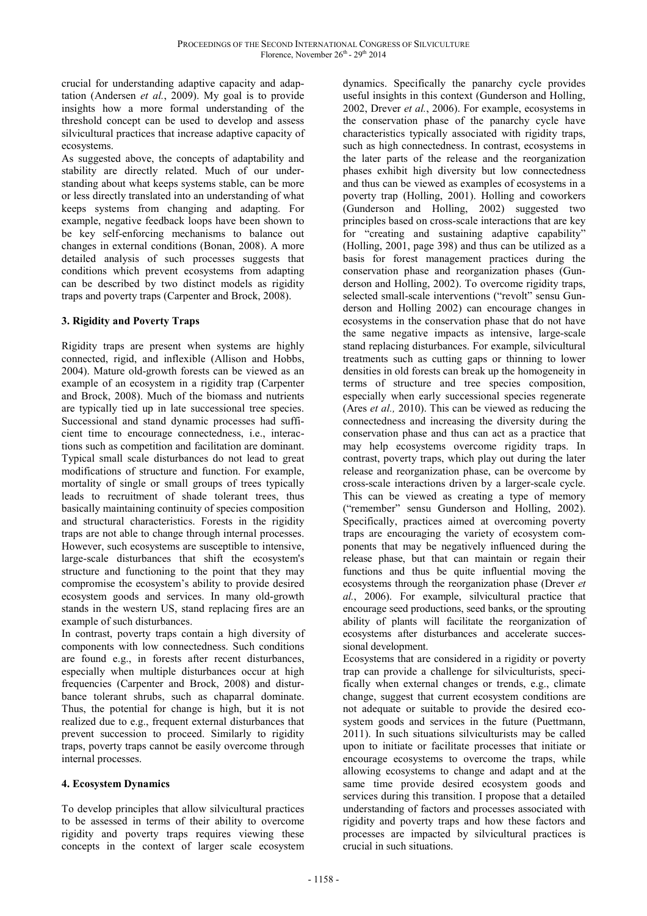crucial for understanding adaptive capacity and adaptation (Andersen *et al.*, 2009). My goal is to provide insights how a more formal understanding of the threshold concept can be used to develop and assess silvicultural practices that increase adaptive capacity of ecosystems.

As suggested above, the concepts of adaptability and stability are directly related. Much of our understanding about what keeps systems stable, can be more or less directly translated into an understanding of what keeps systems from changing and adapting. For example, negative feedback loops have been shown to be key self-enforcing mechanisms to balance out changes in external conditions (Bonan, 2008). A more detailed analysis of such processes suggests that conditions which prevent ecosystems from adapting can be described by two distinct models as rigidity traps and poverty traps (Carpenter and Brock, 2008).

# **3. Rigidity and Poverty Traps**

Rigidity traps are present when systems are highly connected, rigid, and inflexible (Allison and Hobbs, 2004). Mature old-growth forests can be viewed as an example of an ecosystem in a rigidity trap (Carpenter and Brock, 2008). Much of the biomass and nutrients are typically tied up in late successional tree species. Successional and stand dynamic processes had sufficient time to encourage connectedness, i.e., interactions such as competition and facilitation are dominant. Typical small scale disturbances do not lead to great modifications of structure and function. For example, mortality of single or small groups of trees typically leads to recruitment of shade tolerant trees, thus basically maintaining continuity of species composition and structural characteristics. Forests in the rigidity traps are not able to change through internal processes. However, such ecosystems are susceptible to intensive, large-scale disturbances that shift the ecosystem's structure and functioning to the point that they may compromise the ecosystem's ability to provide desired ecosystem goods and services. In many old-growth stands in the western US, stand replacing fires are an example of such disturbances.

In contrast, poverty traps contain a high diversity of components with low connectedness. Such conditions are found e.g., in forests after recent disturbances, especially when multiple disturbances occur at high frequencies (Carpenter and Brock, 2008) and disturbance tolerant shrubs, such as chaparral dominate. Thus, the potential for change is high, but it is not realized due to e.g., frequent external disturbances that prevent succession to proceed. Similarly to rigidity traps, poverty traps cannot be easily overcome through internal processes.

# **4. Ecosystem Dynamics**

To develop principles that allow silvicultural practices to be assessed in terms of their ability to overcome rigidity and poverty traps requires viewing these concepts in the context of larger scale ecosystem

dynamics. Specifically the panarchy cycle provides useful insights in this context (Gunderson and Holling, 2002, Drever *et al.*, 2006). For example, ecosystems in the conservation phase of the panarchy cycle have characteristics typically associated with rigidity traps, such as high connectedness. In contrast, ecosystems in the later parts of the release and the reorganization phases exhibit high diversity but low connectedness and thus can be viewed as examples of ecosystems in a poverty trap (Holling, 2001). Holling and coworkers (Gunderson and Holling, 2002) suggested two principles based on cross-scale interactions that are key for "creating and sustaining adaptive capability" (Holling, 2001, page 398) and thus can be utilized as a basis for forest management practices during the conservation phase and reorganization phases (Gunderson and Holling, 2002). To overcome rigidity traps, selected small-scale interventions ("revolt" sensu Gunderson and Holling 2002) can encourage changes in ecosystems in the conservation phase that do not have the same negative impacts as intensive, large-scale stand replacing disturbances. For example, silvicultural treatments such as cutting gaps or thinning to lower densities in old forests can break up the homogeneity in terms of structure and tree species composition, especially when early successional species regenerate (Ares *et al.,* 2010). This can be viewed as reducing the connectedness and increasing the diversity during the conservation phase and thus can act as a practice that may help ecosystems overcome rigidity traps. In contrast, poverty traps, which play out during the later release and reorganization phase, can be overcome by cross-scale interactions driven by a larger-scale cycle. This can be viewed as creating a type of memory ("remember" sensu Gunderson and Holling, 2002). Specifically, practices aimed at overcoming poverty traps are encouraging the variety of ecosystem components that may be negatively influenced during the release phase, but that can maintain or regain their functions and thus be quite influential moving the ecosystems through the reorganization phase (Drever *et al.*, 2006). For example, silvicultural practice that encourage seed productions, seed banks, or the sprouting ability of plants will facilitate the reorganization of ecosystems after disturbances and accelerate successional development.

Ecosystems that are considered in a rigidity or poverty trap can provide a challenge for silviculturists, specifically when external changes or trends, e.g., climate change, suggest that current ecosystem conditions are not adequate or suitable to provide the desired ecosystem goods and services in the future (Puettmann, 2011). In such situations silviculturists may be called upon to initiate or facilitate processes that initiate or encourage ecosystems to overcome the traps, while allowing ecosystems to change and adapt and at the same time provide desired ecosystem goods and services during this transition. I propose that a detailed understanding of factors and processes associated with rigidity and poverty traps and how these factors and processes are impacted by silvicultural practices is crucial in such situations.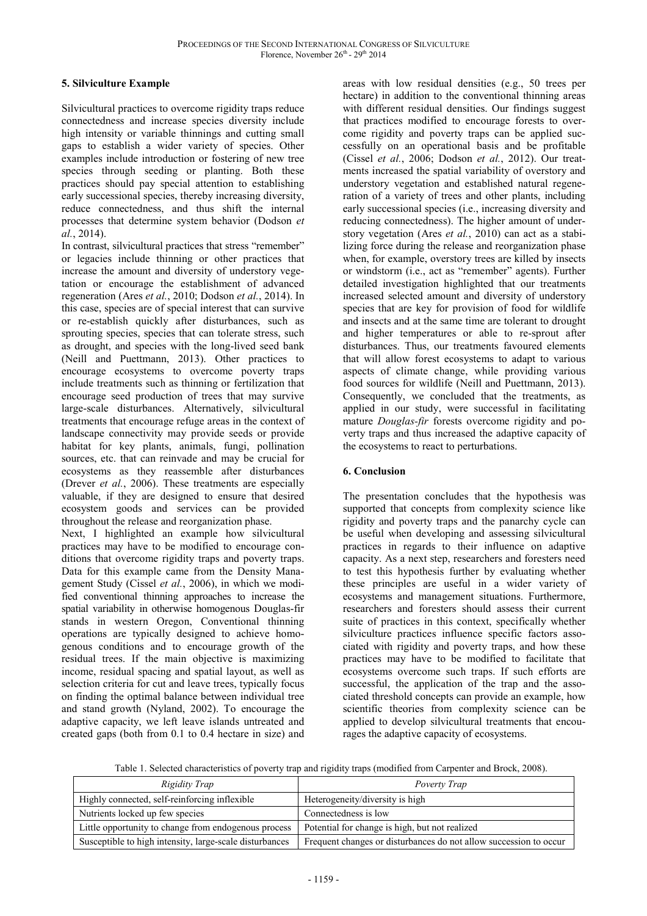## **5. Silviculture Example**

Silvicultural practices to overcome rigidity traps reduce connectedness and increase species diversity include high intensity or variable thinnings and cutting small gaps to establish a wider variety of species. Other examples include introduction or fostering of new tree species through seeding or planting. Both these practices should pay special attention to establishing early successional species, thereby increasing diversity, reduce connectedness, and thus shift the internal processes that determine system behavior (Dodson *et al.*, 2014).

In contrast, silvicultural practices that stress "remember" or legacies include thinning or other practices that increase the amount and diversity of understory vegetation or encourage the establishment of advanced regeneration (Ares *et al.*, 2010; Dodson *et al.*, 2014). In this case, species are of special interest that can survive or re-establish quickly after disturbances, such as sprouting species, species that can tolerate stress, such as drought, and species with the long-lived seed bank (Neill and Puettmann, 2013). Other practices to encourage ecosystems to overcome poverty traps include treatments such as thinning or fertilization that encourage seed production of trees that may survive large-scale disturbances. Alternatively, silvicultural treatments that encourage refuge areas in the context of landscape connectivity may provide seeds or provide habitat for key plants, animals, fungi, pollination sources, etc. that can reinvade and may be crucial for ecosystems as they reassemble after disturbances (Drever *et al.*, 2006). These treatments are especially valuable, if they are designed to ensure that desired ecosystem goods and services can be provided throughout the release and reorganization phase.

Next, I highlighted an example how silvicultural practices may have to be modified to encourage conditions that overcome rigidity traps and poverty traps. Data for this example came from the Density Management Study (Cissel *et al.*, 2006), in which we modified conventional thinning approaches to increase the spatial variability in otherwise homogenous Douglas-fir stands in western Oregon, Conventional thinning operations are typically designed to achieve homogenous conditions and to encourage growth of the residual trees. If the main objective is maximizing income, residual spacing and spatial layout, as well as selection criteria for cut and leave trees, typically focus on finding the optimal balance between individual tree and stand growth (Nyland, 2002). To encourage the adaptive capacity, we left leave islands untreated and created gaps (both from 0.1 to 0.4 hectare in size) and

areas with low residual densities (e.g., 50 trees per hectare) in addition to the conventional thinning areas with different residual densities. Our findings suggest that practices modified to encourage forests to overcome rigidity and poverty traps can be applied successfully on an operational basis and be profitable (Cissel *et al.*, 2006; Dodson *et al.*, 2012). Our treatments increased the spatial variability of overstory and understory vegetation and established natural regeneration of a variety of trees and other plants, including early successional species (i.e., increasing diversity and reducing connectedness). The higher amount of understory vegetation (Ares *et al.*, 2010) can act as a stabilizing force during the release and reorganization phase when, for example, overstory trees are killed by insects or windstorm (i.e., act as "remember" agents). Further detailed investigation highlighted that our treatments increased selected amount and diversity of understory species that are key for provision of food for wildlife and insects and at the same time are tolerant to drought and higher temperatures or able to re-sprout after disturbances. Thus, our treatments favoured elements that will allow forest ecosystems to adapt to various aspects of climate change, while providing various food sources for wildlife (Neill and Puettmann, 2013). Consequently, we concluded that the treatments, as applied in our study, were successful in facilitating mature *Douglas-fir* forests overcome rigidity and poverty traps and thus increased the adaptive capacity of the ecosystems to react to perturbations.

# **6. Conclusion**

The presentation concludes that the hypothesis was supported that concepts from complexity science like rigidity and poverty traps and the panarchy cycle can be useful when developing and assessing silvicultural practices in regards to their influence on adaptive capacity. As a next step, researchers and foresters need to test this hypothesis further by evaluating whether these principles are useful in a wider variety of ecosystems and management situations. Furthermore, researchers and foresters should assess their current suite of practices in this context, specifically whether silviculture practices influence specific factors associated with rigidity and poverty traps, and how these practices may have to be modified to facilitate that ecosystems overcome such traps. If such efforts are successful, the application of the trap and the associated threshold concepts can provide an example, how scientific theories from complexity science can be applied to develop silvicultural treatments that encourages the adaptive capacity of ecosystems.

Table 1. Selected characteristics of poverty trap and rigidity traps (modified from Carpenter and Brock, 2008).

| Rigidity Trap                                           | Poverty Trap                                                      |
|---------------------------------------------------------|-------------------------------------------------------------------|
| Highly connected, self-reinforcing inflexible           | Heterogeneity/diversity is high                                   |
| Nutrients locked up few species                         | Connectedness is low                                              |
| Little opportunity to change from endogenous process    | Potential for change is high, but not realized                    |
| Susceptible to high intensity, large-scale disturbances | Frequent changes or disturbances do not allow succession to occur |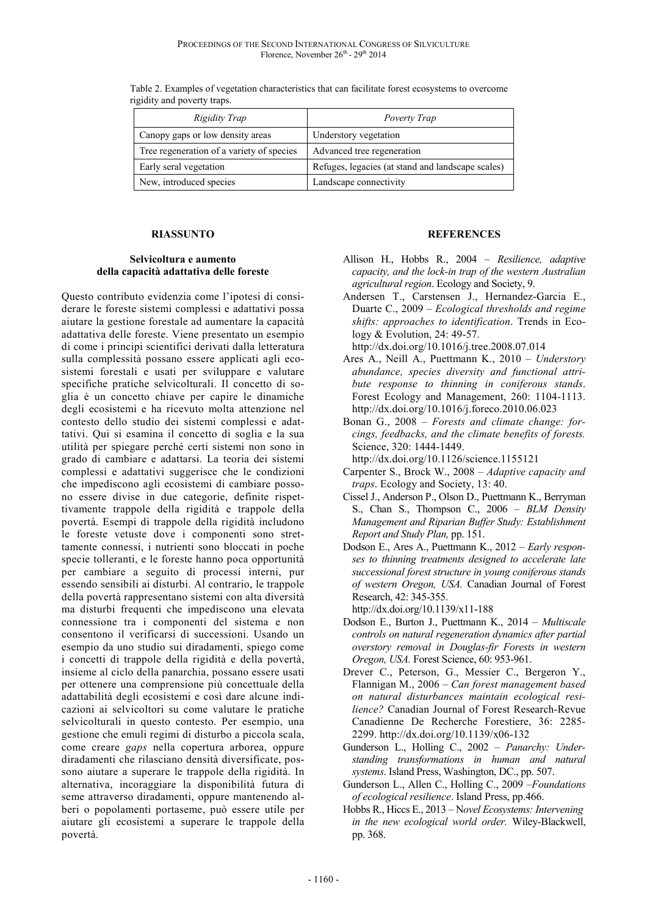| Rigidity Trap                             | Poverty Trap                                      |
|-------------------------------------------|---------------------------------------------------|
| Canopy gaps or low density areas          | Understory vegetation                             |
| Tree regeneration of a variety of species | Advanced tree regeneration                        |
| Early seral vegetation                    | Refuges, legacies (at stand and landscape scales) |
| New, introduced species                   | Landscape connectivity                            |

Table 2. Examples of vegetation characteristics that can facilitate forest ecosystems to overcome rigidity and poverty traps.

### **RIASSUNTO**

#### **Selvicoltura e aumento della capacità adattativa delle foreste**

Questo contributo evidenzia come l'ipotesi di considerare le foreste sistemi complessi e adattativi possa aiutare la gestione forestale ad aumentare la capacità adattativa delle foreste. Viene presentato un esempio di come i principi scientifici derivati dalla letteratura sulla complessità possano essere applicati agli ecosistemi forestali e usati per sviluppare e valutare specifiche pratiche selvicolturali. Il concetto di soglia è un concetto chiave per capire le dinamiche degli ecosistemi e ha ricevuto molta attenzione nel contesto dello studio dei sistemi complessi e adattativi. Qui si esamina il concetto di soglia e la sua utilità per spiegare perché certi sistemi non sono in grado di cambiare e adattarsi. La teoria dei sistemi complessi e adattativi suggerisce che le condizioni che impediscono agli ecosistemi di cambiare possono essere divise in due categorie, definite rispettivamente trappole della rigidità e trappole della povertà. Esempi di trappole della rigidità includono le foreste vetuste dove i componenti sono strettamente connessi, i nutrienti sono bloccati in poche specie tolleranti, e le foreste hanno poca opportunità per cambiare a seguito di processi interni, pur essendo sensibili ai disturbi. Al contrario, le trappole della povertà rappresentano sistemi con alta diversità ma disturbi frequenti che impediscono una elevata connessione tra i componenti del sistema e non consentono il verificarsi di successioni. Usando un esempio da uno studio sui diradamenti, spiego come i concetti di trappole della rigidità e della povertà, insieme al ciclo della panarchia, possano essere usati per ottenere una comprensione più concettuale della adattabilità degli ecosistemi e così dare alcune indicazioni ai selvicoltori su come valutare le pratiche selvicolturali in questo contesto. Per esempio, una gestione che emuli regimi di disturbo a piccola scala, come creare *gaps* nella copertura arborea, oppure diradamenti che rilasciano densità diversificate, possono aiutare a superare le trappole della rigidità. In alternativa, incoraggiare la disponibilità futura di seme attraverso diradamenti, oppure mantenendo alberi o popolamenti portaseme, può essere utile per aiutare gli ecosistemi a superare le trappole della povertà.

#### **REFERENCES**

- Allison H., Hobbs R., 2004 *Resilience, adaptive capacity, and the lock-in trap of the western Australian agricultural region*. Ecology and Society, 9.
- Andersen T., Carstensen J., Hernandez-Garcia E., Duarte C., 2009 – *Ecological thresholds and regime shifts: approaches to identification*. Trends in Ecology & Evolution, 24: 49-57.

http://dx.doi.org/10.1016/j.tree.2008.07.014

- Ares A., Neill A., Puettmann K., 2010 *Understory abundance, species diversity and functional attribute response to thinning in coniferous stands*. Forest Ecology and Management, 260: 1104-1113. http://dx.doi.org/10.1016/j.foreco.2010.06.023
- Bonan G., 2008 *Forests and climate change: forcings, feedbacks, and the climate benefits of forests.* Science, 320: 1444-1449.

http://dx.doi.org/10.1126/science.1155121

- Carpenter S., Brock W., 2008 *Adaptive capacity and traps*. Ecology and Society, 13: 40.
- Cissel J., Anderson P., Olson D., Puettmann K., Berryman S., Chan S., Thompson C., 2006 – *BLM Density Management and Riparian Buffer Study: Establishment Report and Study Plan,* pp. 151.
- Dodson E., Ares A., Puettmann K., 2012 *Early responses to thinning treatments designed to accelerate late successional forest structure in young coniferous stands of western Oregon, USA.* Canadian Journal of Forest Research, 42: 345-355.

http://dx.doi.org/10.1139/x11-188

- Dodson E., Burton J., Puettmann K., 2014 *Multiscale controls on natural regeneration dynamics after partial overstory removal in Douglas-fir Forests in western Oregon, USA.* Forest Science, 60: 953-961.
- Drever C., Peterson, G., Messier C., Bergeron Y., Flannigan M., 2006 – *Can forest management based on natural disturbances maintain ecological resilience?* Canadian Journal of Forest Research-Revue Canadienne De Recherche Forestiere, 36: 2285- 2299. http://dx.doi.org/10.1139/x06-132
- Gunderson L., Holling C., 2002 *Panarchy: Understanding transformations in human and natural systems*. Island Press, Washington, DC., pp. 507.
- Gunderson L., Allen C., Holling C., 2009 –*Foundations of ecological resilience*. Island Press, pp.466.
- Hobbs R., Hiccs E., 2013 N*ovel Ecosystems: Intervening in the new ecological world order.* Wiley-Blackwell, pp. 368.